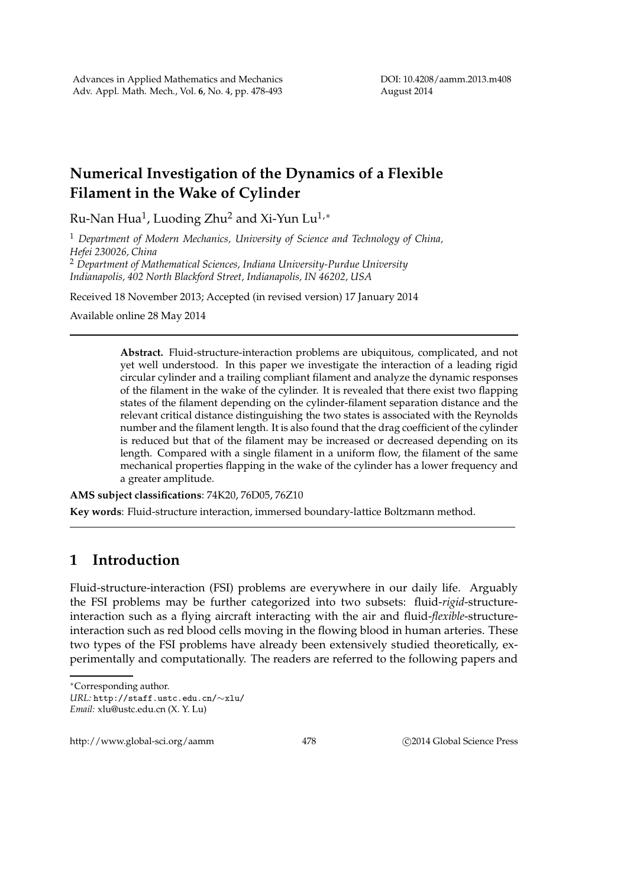## **Numerical Investigation of the Dynamics of a Flexible Filament in the Wake of Cylinder**

Ru-Nan Hua $^1$ , Luoding Zhu $^2$  and Xi-Yun Lu $^{1,\ast}$ 

<sup>1</sup> *Department of Modern Mechanics, University of Science and Technology of China, Hefei 230026, China* <sup>2</sup> *Department of Mathematical Sciences, Indiana University-Purdue University*

*Indianapolis, 402 North Blackford Street, Indianapolis, IN 46202, USA*

Received 18 November 2013; Accepted (in revised version) 17 January 2014

Available online 28 May 2014

**Abstract.** Fluid-structure-interaction problems are ubiquitous, complicated, and not yet well understood. In this paper we investigate the interaction of a leading rigid circular cylinder and a trailing compliant filament and analyze the dynamic responses of the filament in the wake of the cylinder. It is revealed that there exist two flapping states of the filament depending on the cylinder-filament separation distance and the relevant critical distance distinguishing the two states is associated with the Reynolds number and the filament length. It is also found that the drag coefficient of the cylinder is reduced but that of the filament may be increased or decreased depending on its length. Compared with a single filament in a uniform flow, the filament of the same mechanical properties flapping in the wake of the cylinder has a lower frequency and a greater amplitude.

**AMS subject classifications**: 74K20, 76D05, 76Z10 **Key words**: Fluid-structure interaction, immersed boundary-lattice Boltzmann method.

## **1 Introduction**

Fluid-structure-interaction (FSI) problems are everywhere in our daily life. Arguably the FSI problems may be further categorized into two subsets: fluid-*rigid*-structureinteraction such as a flying aircraft interacting with the air and fluid-*flexible*-structureinteraction such as red blood cells moving in the flowing blood in human arteries. These two types of the FSI problems have already been extensively studied theoretically, experimentally and computationally. The readers are referred to the following papers and

<sup>∗</sup>Corresponding author.

*URL:* http://staff.ustc.edu.cn/∼xlu/ *Email:* xlu@ustc.edu.cn (X. Y. Lu)